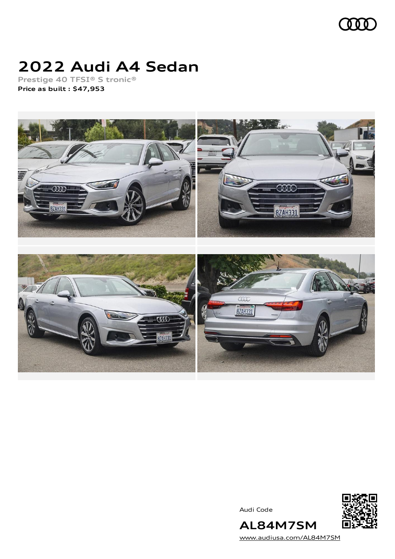

# **2022 Audi A4 Sedan**

**Prestige 40 TFSI® S tronic® Price as built [:](#page-8-0) \$47,953**



Audi Code



[www.audiusa.com/AL84M7SM](https://www.audiusa.com/AL84M7SM)

**AL84M7SM**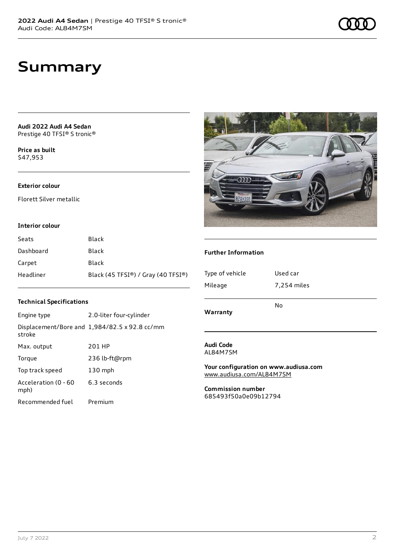**Audi 2022 Audi A4 Sedan** Prestige 40 TFSI® S tronic®

**Price as buil[t](#page-8-0)** \$47,953

### **Exterior colour**

Florett Silver metallic

#### **Interior colour**

| Seats     | Black                              |
|-----------|------------------------------------|
| Dashboard | Black                              |
| Carpet    | Black                              |
| Headliner | Black (45 TFSI®) / Gray (40 TFSI®) |

### **Technical Specifications**

| Engine type                  | 2.0-liter four-cylinder                       |
|------------------------------|-----------------------------------------------|
| stroke                       | Displacement/Bore and 1,984/82.5 x 92.8 cc/mm |
| Max. output                  | 201 HP                                        |
| Torque                       | 236 lb-ft@rpm                                 |
| Top track speed              | $130$ mph                                     |
| Acceleration (0 - 60<br>mph) | 6.3 seconds                                   |
| Recommended fuel             | Premium                                       |



### **Further Information**

| Type of vehicle<br>Mileage   | Used car<br>7,254 miles |
|------------------------------|-------------------------|
| Warranty                     | No                      |
| <b>Audi Code</b><br>AL84M7SM |                         |

#### **Your configuration on www.audiusa.com** [www.audiusa.com/AL84M7SM](https://www.audiusa.com/AL84M7SM)

**Commission number** 685493f50a0e09b12794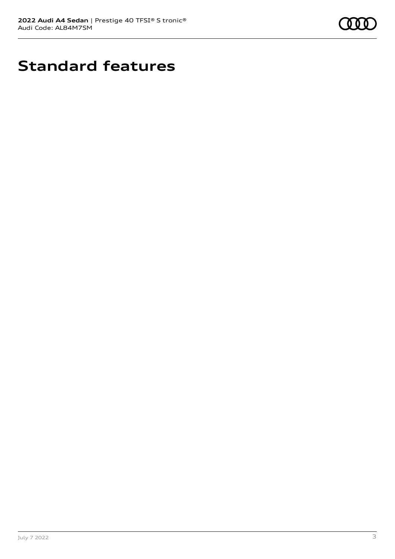

# **Standard features**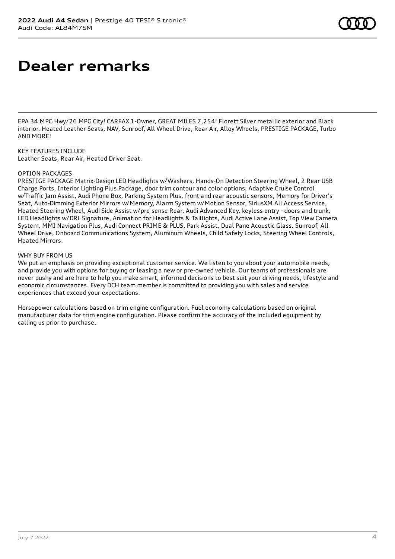# **Dealer remarks**

EPA 34 MPG Hwy/26 MPG City! CARFAX 1-Owner, GREAT MILES 7,254! Florett Silver metallic exterior and Black interior. Heated Leather Seats, NAV, Sunroof, All Wheel Drive, Rear Air, Alloy Wheels, PRESTIGE PACKAGE, Turbo AND MORE!

KEY FEATURES INCLUDE Leather Seats, Rear Air, Heated Driver Seat.

#### OPTION PACKAGES

PRESTIGE PACKAGE Matrix-Design LED Headlights w/Washers, Hands-On Detection Steering Wheel, 2 Rear USB Charge Ports, Interior Lighting Plus Package, door trim contour and color options, Adaptive Cruise Control w/Traffic Jam Assist, Audi Phone Box, Parking System Plus, front and rear acoustic sensors, Memory for Driver's Seat, Auto-Dimming Exterior Mirrors w/Memory, Alarm System w/Motion Sensor, SiriusXM All Access Service, Heated Steering Wheel, Audi Side Assist w/pre sense Rear, Audi Advanced Key, keyless entry - doors and trunk, LED Headlights w/DRL Signature, Animation for Headlights & Taillights, Audi Active Lane Assist, Top View Camera System, MMI Navigation Plus, Audi Connect PRIME & PLUS, Park Assist, Dual Pane Acoustic Glass. Sunroof, All Wheel Drive, Onboard Communications System, Aluminum Wheels, Child Safety Locks, Steering Wheel Controls, Heated Mirrors.

#### WHY BUY FROM US

We put an emphasis on providing exceptional customer service. We listen to you about your automobile needs, and provide you with options for buying or leasing a new or pre-owned vehicle. Our teams of professionals are never pushy and are here to help you make smart, informed decisions to best suit your driving needs, lifestyle and economic circumstances. Every DCH team member is committed to providing you with sales and service experiences that exceed your expectations.

Horsepower calculations based on trim engine configuration. Fuel economy calculations based on original manufacturer data for trim engine configuration. Please confirm the accuracy of the included equipment by calling us prior to purchase.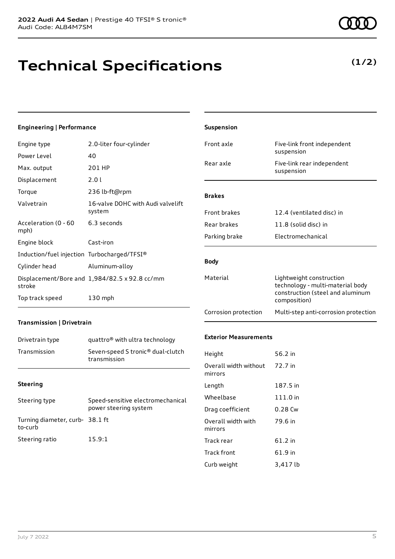## **Technical Specifications**

**(1/2)**

| Engineering   Performance                   |                                                               | Suspension                       |                                                                                                  |
|---------------------------------------------|---------------------------------------------------------------|----------------------------------|--------------------------------------------------------------------------------------------------|
| Engine type                                 | 2.0-liter four-cylinder                                       | Front axle                       | Five-link front independent                                                                      |
| Power Level                                 | 40                                                            |                                  | suspension                                                                                       |
| Max. output                                 | 201 HP                                                        | Rear axle                        | Five-link rear independent<br>suspension                                                         |
| Displacement                                | 2.0 l                                                         |                                  |                                                                                                  |
| Torque                                      | 236 lb-ft@rpm                                                 | <b>Brakes</b>                    |                                                                                                  |
| Valvetrain                                  | 16-valve DOHC with Audi valvelift<br>system                   | Front brakes                     | 12.4 (ventilated disc) in                                                                        |
| Acceleration (0 - 60                        | 6.3 seconds                                                   | Rear brakes                      | 11.8 (solid disc) in                                                                             |
| mph)                                        |                                                               | Parking brake                    | Electromechanical                                                                                |
| Engine block                                | Cast-iron                                                     |                                  |                                                                                                  |
| Induction/fuel injection Turbocharged/TFSI® |                                                               | <b>Body</b>                      |                                                                                                  |
| Cylinder head                               | Aluminum-alloy                                                |                                  |                                                                                                  |
| stroke                                      | Displacement/Bore and 1,984/82.5 x 92.8 cc/mm                 | Material                         | Lightweight construction<br>technology - multi-material body<br>construction (steel and aluminum |
| Top track speed                             | 130 mph                                                       |                                  | composition)                                                                                     |
|                                             |                                                               | Corrosion protection             | Multi-step anti-corrosion protection                                                             |
| Transmission   Drivetrain                   |                                                               |                                  |                                                                                                  |
| Drivetrain type                             | quattro <sup>®</sup> with ultra technology                    | <b>Exterior Measurements</b>     |                                                                                                  |
| Transmission                                | Seven-speed S tronic <sup>®</sup> dual-clutch<br>transmission | Height                           | 56.2 in                                                                                          |
|                                             |                                                               | Overall width without<br>mirrors | 72.7 in                                                                                          |
| <b>Steering</b>                             |                                                               | Length                           | 187.5 in                                                                                         |
| Steering type                               | Speed-sensitive electromechanical<br>power steering system    | Wheelbase                        | 111.0 in                                                                                         |
|                                             |                                                               | Drag coefficient                 | 0.28 Cw                                                                                          |
| Turning diameter, curb- 38.1 ft<br>to-curb  |                                                               | Overall width with<br>mirrors    | 79.6 in                                                                                          |
| Steering ratio                              | 15.9:1                                                        | Track rear                       | 61.2 in                                                                                          |
|                                             |                                                               | Track front                      | 61.9 in                                                                                          |
|                                             |                                                               | Curb weight                      | 3,417 lb                                                                                         |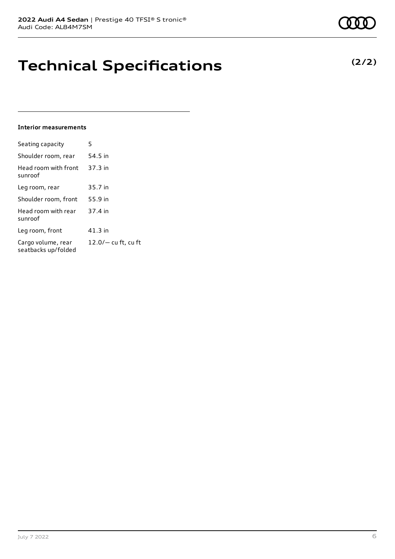# **Technical Specifications**

### **Interior measurements**

| Seating capacity                          | 5                     |
|-------------------------------------------|-----------------------|
| Shoulder room, rear                       | 54.5 in               |
| Head room with front<br>sunroof           | 37.3 in               |
| Leg room, rear                            | 35.7 in               |
| Shoulder room, front                      | 55.9 in               |
| Head room with rear<br>sunroof            | 37.4 in               |
| Leg room, front                           | 41.3 in               |
| Cargo volume, rear<br>seatbacks up/folded | $12.0/-$ cu ft, cu ft |

### **(2/2)**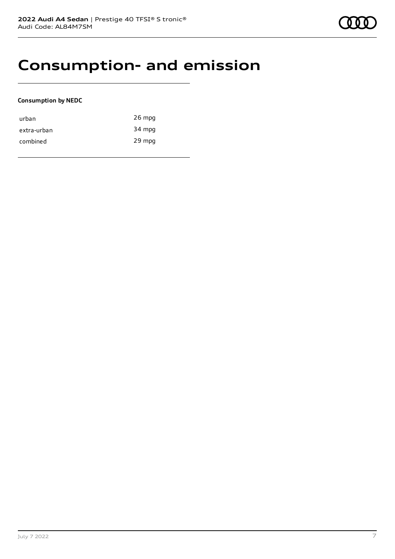### **Consumption- and emission**

#### **Consumption by NEDC**

| urban       | $26$ mpg |
|-------------|----------|
| extra-urban | 34 mpg   |
| combined    | 29 mpg   |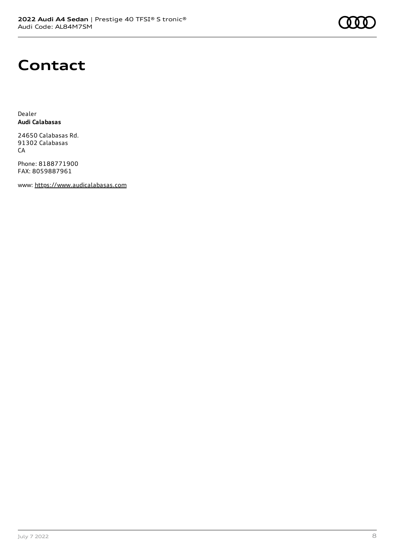### **Contact**

Dealer **Audi Calabasas**

24650 Calabasas Rd. 91302 Calabasas CA

Phone: 8188771900 FAX: 8059887961

www: [https://www.audicalabasas.com](https://www.audicalabasas.com/)